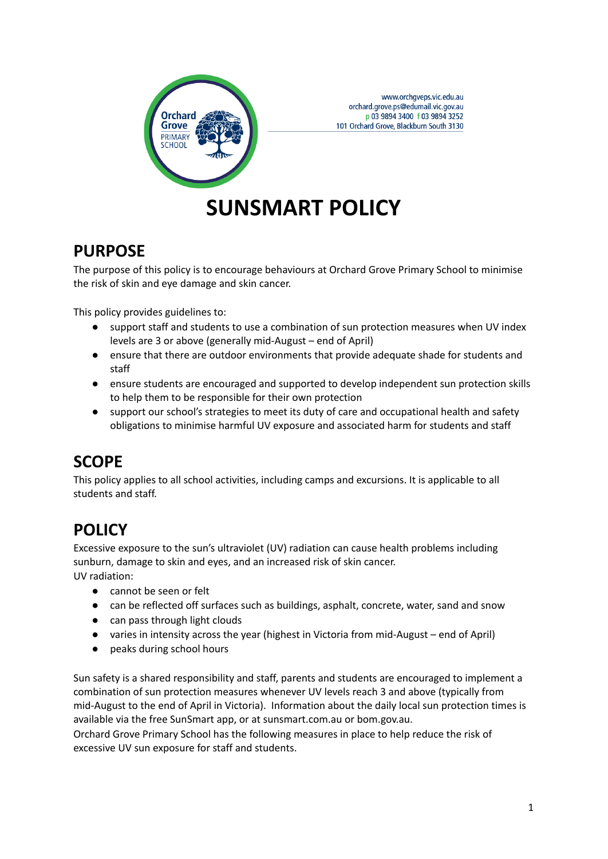

www.orchgveps.vic.edu.au orchard.grove.ps@edumail.vic.gov.au p 03 9894 3400 f 03 9894 3252 101 Orchard Grove, Blackburn South 3130

# **SUNSMART POLICY**

### **PURPOSE**

The purpose of this policy is to encourage behaviours at Orchard Grove Primary School to minimise the risk of skin and eye damage and skin cancer.

This policy provides guidelines to:

- support staff and students to use a combination of sun protection measures when UV index levels are 3 or above (generally mid-August – end of April)
- ensure that there are outdoor environments that provide adequate shade for students and staff
- ensure students are encouraged and supported to develop independent sun protection skills to help them to be responsible for their own protection
- support our school's strategies to meet its duty of care and occupational health and safety obligations to minimise harmful UV exposure and associated harm for students and staff

# **SCOPE**

This policy applies to all school activities, including camps and excursions. It is applicable to all students and staff.

# **POLICY**

Excessive exposure to the sun's ultraviolet (UV) radiation can cause health problems including sunburn, damage to skin and eyes, and an increased risk of skin cancer. UV radiation:

- cannot be seen or felt
- can be reflected off surfaces such as buildings, asphalt, concrete, water, sand and snow
- can pass through light clouds
- varies in intensity across the year (highest in Victoria from mid-August end of April)
- peaks during school hours

Sun safety is a shared responsibility and staff, parents and students are encouraged to implement a combination of sun protection measures whenever UV levels reach 3 and above (typically from mid-August to the end of April in Victoria). Information about the daily local sun protection times is available via the free [SunSmart](http://www.sunsmart.com.au/tools/interactive-tools/free-sunsmart-app) app, or at [sunsmart.com.au](http://www.sunsmart.com.au) or bom.gov.au.

Orchard Grove Primary School has the following measures in place to help reduce the risk of excessive UV sun exposure for staff and students.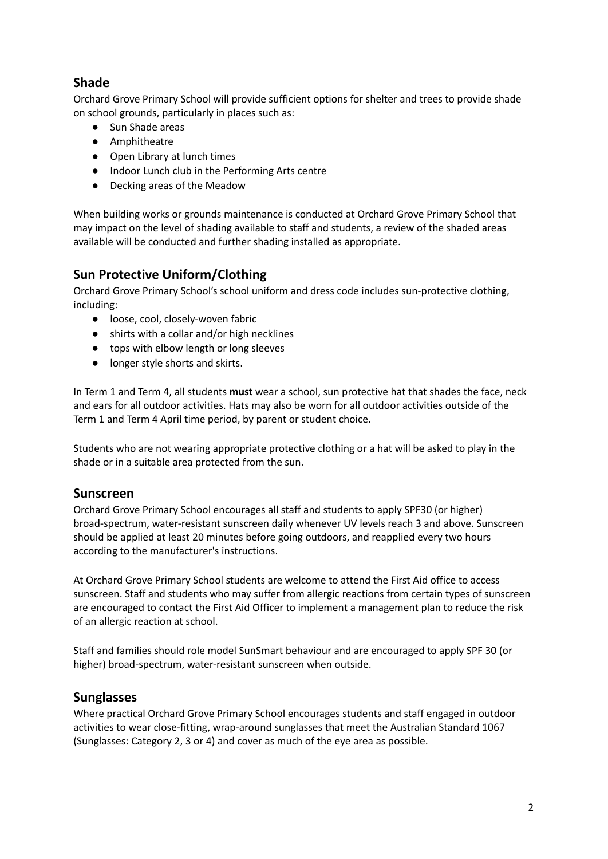#### **Shade**

Orchard Grove Primary School will provide sufficient options for shelter and trees to provide shade on school grounds, particularly in places such as:

- Sun Shade areas
- Amphitheatre
- Open Library at lunch times
- Indoor Lunch club in the Performing Arts centre
- Decking areas of the Meadow

When building works or grounds maintenance is conducted at Orchard Grove Primary School that may impact on the level of shading available to staff and students, a review of the shaded areas available will be conducted and further shading installed as appropriate.

#### **Sun Protective Uniform/Clothing**

Orchard Grove Primary School's school uniform and dress code includes sun-protective clothing, including:

- loose, cool, closely-woven fabric
- shirts with a collar and/or high necklines
- tops with elbow length or long sleeves
- longer style shorts and skirts.

In Term 1 and Term 4, all students **must** wear a school, sun protective hat that shades the face, neck and ears for all outdoor activities. Hats may also be worn for all outdoor activities outside of the Term 1 and Term 4 April time period, by parent or student choice.

Students who are not wearing appropriate protective clothing or a hat will be asked to play in the shade or in a suitable area protected from the sun.

#### **Sunscreen**

Orchard Grove Primary School encourages all staff and students to apply SPF30 (or higher) broad-spectrum, water-resistant sunscreen daily whenever UV levels reach 3 and above. Sunscreen should be applied at least 20 minutes before going outdoors, and reapplied every two hours according to the manufacturer's instructions.

At Orchard Grove Primary School students are welcome to attend the First Aid office to access sunscreen. Staff and students who may suffer from allergic reactions from certain types of sunscreen are encouraged to contact the First Aid Officer to implement a management plan to reduce the risk of an allergic reaction at school.

Staff and families should role model SunSmart behaviour and are encouraged to apply SPF 30 (or higher) broad-spectrum, water-resistant sunscreen when outside.

#### **Sunglasses**

Where practical Orchard Grove Primary School encourages students and staff engaged in outdoor activities to wear close-fitting, wrap-around sunglasses that meet the Australian Standard 1067 (Sunglasses: Category 2, 3 or 4) and cover as much of the eye area as possible.